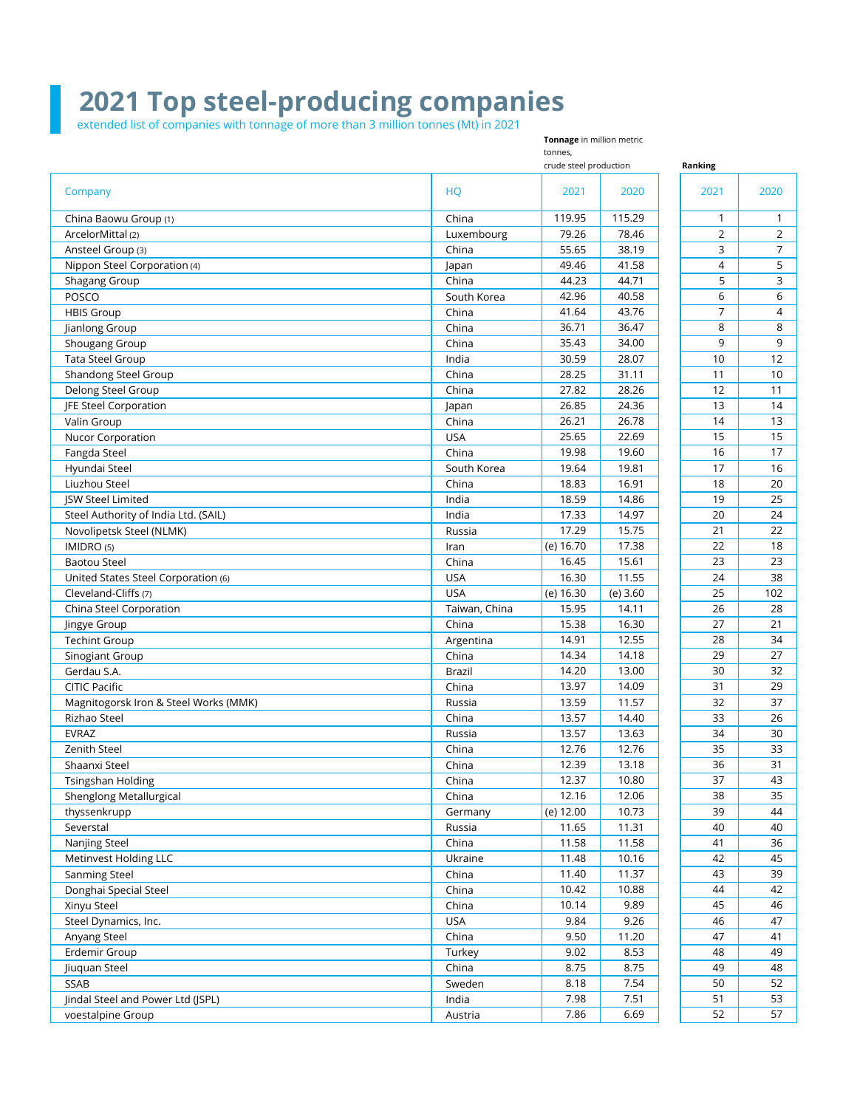## **2021 Top steel-producing companies**

extended list of companies with tonnage of more than 3 million tonnes (Mt) in 2021

**Ranking** Company HQ 2021 2020 2021 2020 China Baowu Group (1) 2022 12:00 12:00 12:00 12:00 12:00 12:00 12:00 12:00 12:00 12:00 12:00 12:00 12:00 12:00 12:00 12:00 12:00 12:00 12:00 12:00 12:00 12:00 12:00 12:00 12:00 12:00 12:00 12:00 12:00 12:00 12:00 12:00 12: ArcelorMittal (2) Luxembourg 79.26 78.46 2 2 Ansteel Group (3) China 55.65 38.19 3 7 Nippon Steel Corporation (4) Japan 49.46 41.58 4 5 Shagang Group China National According China National According to the Second Shagang Group China According to the S POSCO South Korea 42.96 40.58 6 6 HBIS Group China 41.64 43.76 7 4 Jianlong Group China 36.71 36.47 8 8 Shougang Group China 35.43 34.00 9 9 Tata Steel Group 30.59 28.07 12 12 Shandong Steel Group China 28.25 31.11 11 10 Delong Steel Group China 27.82 28.26 12 11 JFE Steel Corporation 14 14 14 15 16 16 17 17 17 17 18 17 18 17 18 17 18 17 18 17 18 17 18 17 18 17 18 17 18 1 Valin Group China 26.21 26.78 14 13 Nucor Corporation 25.65 22.69 15 15 15 Fangda Steel China 19.98 19.60 16 17 Hyundai Steel South Korea 19.64 19.81 17 16 Liuzhou Steel China 18.83 16.91 18 20 JSW Steel Limited India 18.59 14.86 19 25 Steel Authority of India Ltd. (SAIL) **India** 17.33 14.97 20 24 Novolipetsk Steel (NLMK) 22 and the steel (NLMK) and the steel (NLMK) and the steel (NLMK) and the steel of the steel (NLMK) and the steel (NLMK) and the steel (NLMK) and the steel (NLMK) and the steel (NLMK) and the steel IMIDRO (5) Iran (e) 16.70 17.38 22 18 Baotou Steel China 16.45 15.61 23 23 United States Steel Corporation (6) No. 24 238 Cleveland-Cliffs (7) USA (e) 16.30 (e) 3.60 25 102 China Steel Corporation **Taiwan, China 15.95** 14.11 26 28 Jingye Group China 15.38 16.30 27 21 Techint Group 14.91 12.55 28 34 Sinogiant Group China 14.34 14.18 29 27 Gerdau S.A. Brazil 14.20 13.00 30 32 CITIC Pacific China 13.97 14.09 31 29 Magnitogorsk Iron & Steel Works (MMK) Nussia 2008 | Russia 2009 | 11.57 | 32 | 37 Rizhao Steel China 13.57 14.40 33 26 EVRAZ Russia 13.57 13.63 34 30 Zenith Steel China 12.76 12.76 35 33 Shaanxi Steel China 12.39 13.18 36 31 Tsingshan Holding China 12.37 10.80 37 43 Shenglong Metallurgical and the china 12.16 12.06 38 35 thyssenkrupp Germany 44 Severstal Russia 11.65 11.31 40 40 Nanjing Steel China 11.58 11.58 41 36 Metinvest Holding LLC **11.48** 10.16 42 45 Sanming Steel **China 2018** 2018 11.40 11.37 2018 11.40 11.37 2018 11.37 2019 11.37 2018 11.37 2018 11.37 2018 11 Donghai Special Steel China 2012 10.42 10.88 44 42 Xinyu Steel China 10.14 9.89 45 46 Steel Dynamics, Inc. USA 9.84 9.26 46 47 Anyang Steel China 9.50 11.20 47 41 Erdemir Group Turkey 9.02 8.53 48 49 Jiuquan Steel China 8.75 8.75 49 48 SSAB Sweden 8.18 7.54 50 52 Jindal Steel and Power Ltd (JSPL) **India** 1.53 India 1.53 India 1.53 India 5.53 India 5.51 India 5.52 India 5.51 S **Tonnage** in million metric tonnes, crude steel production

voestalpine Group **Austria Austria Austria** 1.86 6.69 52 57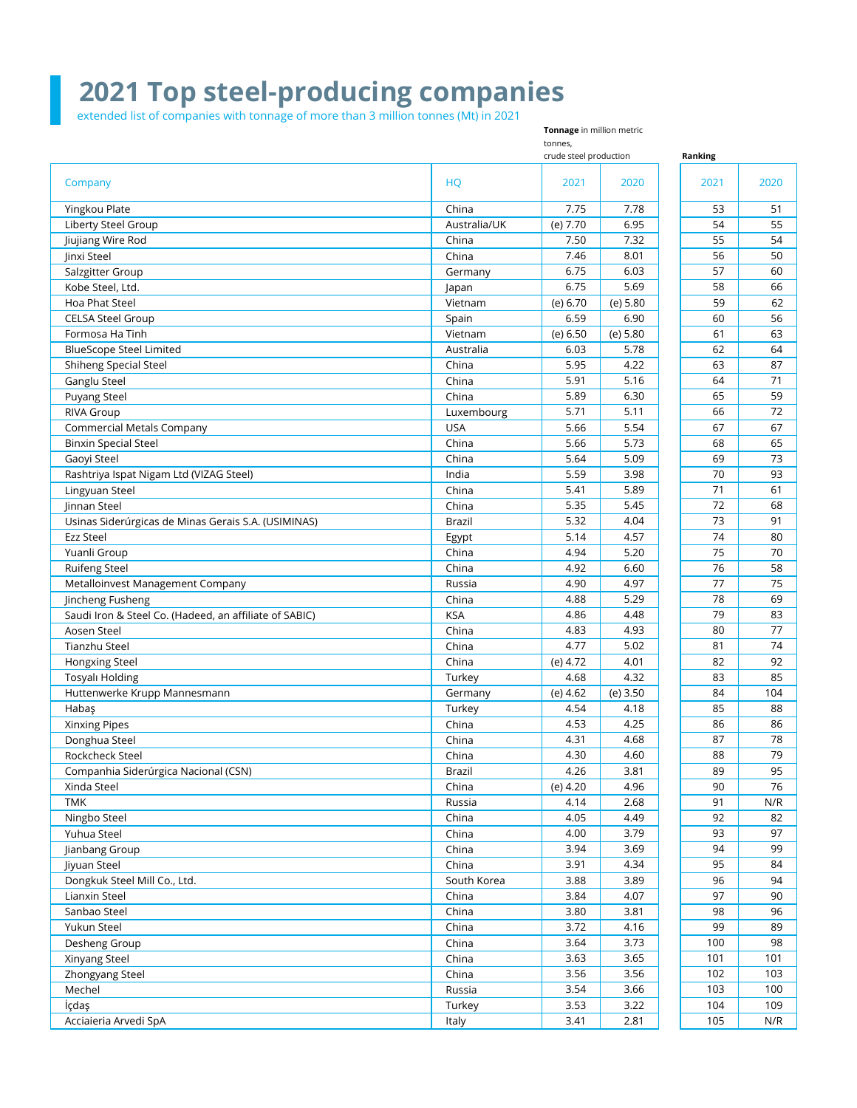## **2021 Top steel-producing companies**

**Tonnage** in million metric

extended list of companies with tonnage of more than 3 million tonnes (Mt) in 2021

**Ranking** Company HQ 2021 2020 2021 2020 tonnes, crude steel production Yingkou Plate China 7.75 7.78 53 51 Liberty Steel Group **Australia/UK** (e) 7.70 6.95 54 55 Jiujiang Wire Rod 54 September 2008 54 September 2009 54 China 55 7.32 54 September 2009 55 54 September 2009 55 54 September 2009 55 54 September 2009 55 54 September 2009 55 54 September 2009 55 September 2009 55 Septemb Jinxi Steel China 7.46 8.01 56 50 Salzgitter Group Germany 6.75 6.03 57 60 Kobe Steel, Ltd. Japan 6.75 5.69 58 66 Hoa Phat Steel Vietnam (e) 6.70 (e) 5.80 59 62 CELSA Steel Group 60 56 6.90 60 56 6.90 60 56 6.90 60 56 6.90 60 56 6.90 60 56 6.90 60 56 6.90 60 56 6.90 60 56 6.90 60 56 6.90 60 56 6.90 60 56 6.90 60 56 6.90 60 56 6.90 61 63 63 6.90 61 63 63 6.90 61 63 63 63 6.90 61 63 Formosa Ha Tinh 63 BlueScope Steel Limited 64 and the Control of Australia 1 australia 6.03 5.78 62 64 Shiheng Special Steel Shiheng Special Steel Shiheng Special Steel Shiheng Special Steel Steel Shiheng Special Steel Steel Shiheng Special Steel Shiheng Special Steel Shiheng Special Steel Shiheng Special Steel Shiheng Spec Ganglu Steel China 5.91 5.16 64 71 Puyang Steel China 5.89 6.30 65 59 RIVA Group Luxembourg 5.71 5.11 66 72 Commercial Metals Company USA 5.66 5.54 67 67 Binxin Special Steel 65 and Steel China 5.66 5.73 68 65 Gaoyi Steel China 5.64 5.09 69 73 Rashtriya Ispat Nigam Ltd (VIZAG Steel) India 5.59 3.98 70 93 Lingyuan Steel China 5.41 5.89 71 61 Jinnan Steel China 5.35 5.45 72 68 Usinas Siderúrgicas de Minas Gerais S.A. (USIMINAS) Brazil Brazil 5.32 4.04 73 91 Ezz Steel Egypt 5.14 4.57 74 80 Yuanli Group China 4.94 5.20 75 70 Ruifeng Steel China 4.92 6.60 76 58 Metalloinvest Management Company Russia Alexandre Russia Alexandre According to the Muslim Company Russia Alexandre According to the Muslim Company Russia Alexandre According to the Muslim Company According to the Muslim C Jincheng Fusheng China 4.88 5.29 78 69 Saudi Iron & Steel Co. (Hadeed, an affiliate of SABIC) KSA 4.86 4.48 79 83 Aosen Steel China 4.83 4.93 80 77 Tianzhu Steel China 4.77 5.02 81 74 Hongxing Steel **China** (e) 4.72 | 4.01 | 82 | 92 Tosyalı Holding Turkey 4.68 4.32 83 85 Huttenwerke Krupp Mannesmann and Germany (e) 4.62 (e) 3.50 84 104 Habaş Turkey 4.54 4.18 85 88 Xinxing Pipes China 4.53 4.25 86 86 Donghua Steel 2008 2014 12:00 2014 12:00 2014 12:00 2014 12:00 2014 12:00 2014 12:00 2014 12:00 2014 12:00 201 Rockcheck Steel China 4.30 4.60 88 79 Companhia Siderúrgica Nacional (CSN) Companhia Siderúrgica Nacional (CSN) and the companhia Siderúrgica Nacional (CSN) Xinda Steel China (e) 4.20 4.96 90 76 TMK Russia 4.14 2.68 91 N/R Ningbo Steel China 4.05 4.49 92 82 Yuhua Steel China 4.00 3.79 93 97 Jianbang Group China 3.94 3.69 94 99 Jiyuan Steel China 3.91 4.34 95 84 Dongkuk Steel Mill Co., Ltd. South South Korea 3.88 3.89 96 94 90 | China | 3.84 | 4.07 | 97 | 90 | 90 | 91 | 97 | 90 | 90 | 91 | 97 | 90 | 90 | 91 | 97 | 90 | 90 | 90 | 90 Sanbao Steel China 3.80 3.81 98 96 Yukun Steel China 3.72 4.16 99 89 Desheng Group China 2.54 3.73 100 98 Xinyang Steel China 3.63 3.65 101 101 Zhongyang Steel 2002 2003 2004 102 2004 2004 2005 2006 2010 2020 2031 2040 2050 2060 2071 2080 2090 2004 2005 20 Mechel Russia 3.54 3.66 103 100 İçdaş Turkey 3.53 3.22 104 109 Acciaieria Arvedi SpA Italy 3.41 2.81 105 N/R